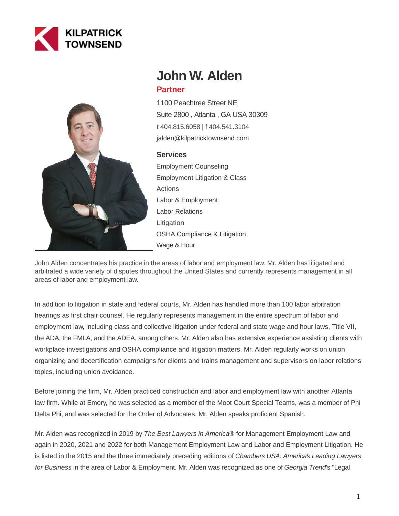



# **John W. Alden Partner**

1100 Peachtree Street NE Suite 2800 , Atlanta , GA USA 30309 [t 404.815.6058](tel:404.815.6058) | [f 404.541.3104](fax:404.541.3104) jalden@kilpatricktownsend.com

# **Services**

Employment Counseling Employment Litigation & Class Actions Labor & Employment Labor Relations Litigation OSHA Compliance & Litigation Wage & Hour

John Alden concentrates his practice in the areas of labor and employment law. Mr. Alden has litigated and arbitrated a wide variety of disputes throughout the United States and currently represents management in all areas of labor and employment law.

In addition to litigation in state and federal courts, Mr. Alden has handled more than 100 labor arbitration hearings as first chair counsel. He regularly represents management in the entire spectrum of labor and employment law, including class and collective litigation under federal and state wage and hour laws, Title VII, the ADA, the FMLA, and the ADEA, among others. Mr. Alden also has extensive experience assisting clients with workplace investigations and OSHA compliance and litigation matters. Mr. Alden regularly works on union organizing and decertification campaigns for clients and trains management and supervisors on labor relations topics, including union avoidance.

Before joining the firm, Mr. Alden practiced construction and labor and employment law with another Atlanta law firm. While at Emory, he was selected as a member of the Moot Court Special Teams, was a member of Phi Delta Phi, and was selected for the Order of Advocates. Mr. Alden speaks proficient Spanish.

Mr. Alden was recognized in 2019 by The Best Lawyers in America® for Management Employment Law and again in 2020, 2021 and 2022 for both Management Employment Law and Labor and Employment Litigation. He is listed in the 2015 and the three immediately preceding editions of Chambers USA: America's Leading Lawyers for Business in the area of Labor & Employment. Mr. Alden was recognized as one of Georgia Trend's "Legal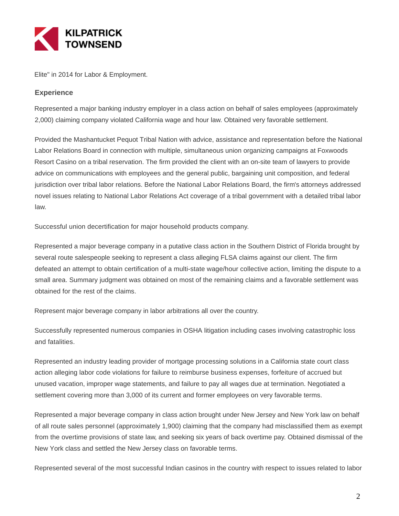

Elite" in 2014 for Labor & Employment.

# **Experience**

Represented a major banking industry employer in a class action on behalf of sales employees (approximately 2,000) claiming company violated California wage and hour law. Obtained very favorable settlement.

Provided the Mashantucket Pequot Tribal Nation with advice, assistance and representation before the National Labor Relations Board in connection with multiple, simultaneous union organizing campaigns at Foxwoods Resort Casino on a tribal reservation. The firm provided the client with an on-site team of lawyers to provide advice on communications with employees and the general public, bargaining unit composition, and federal jurisdiction over tribal labor relations. Before the National Labor Relations Board, the firm's attorneys addressed novel issues relating to National Labor Relations Act coverage of a tribal government with a detailed tribal labor law.

Successful union decertification for major household products company.

Represented a major beverage company in a putative class action in the Southern District of Florida brought by several route salespeople seeking to represent a class alleging FLSA claims against our client. The firm defeated an attempt to obtain certification of a multi-state wage/hour collective action, limiting the dispute to a small area. Summary judgment was obtained on most of the remaining claims and a favorable settlement was obtained for the rest of the claims.

Represent major beverage company in labor arbitrations all over the country.

Successfully represented numerous companies in OSHA litigation including cases involving catastrophic loss and fatalities.

Represented an industry leading provider of mortgage processing solutions in a California state court class action alleging labor code violations for failure to reimburse business expenses, forfeiture of accrued but unused vacation, improper wage statements, and failure to pay all wages due at termination. Negotiated a settlement covering more than 3,000 of its current and former employees on very favorable terms.

Represented a major beverage company in class action brought under New Jersey and New York law on behalf of all route sales personnel (approximately 1,900) claiming that the company had misclassified them as exempt from the overtime provisions of state law, and seeking six years of back overtime pay. Obtained dismissal of the New York class and settled the New Jersey class on favorable terms.

Represented several of the most successful Indian casinos in the country with respect to issues related to labor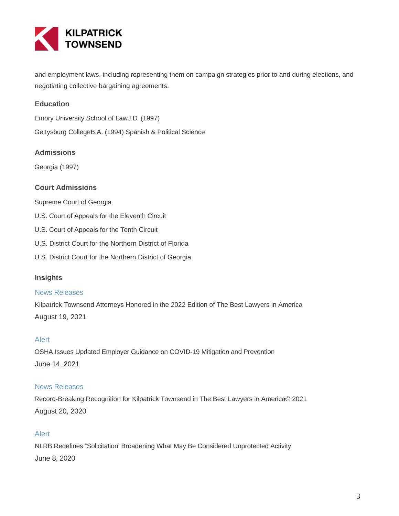

and employment laws, including representing them on campaign strategies prior to and during elections, and negotiating collective bargaining agreements.

# **Education**

Emory University School of LawJ.D. (1997)

Gettysburg CollegeB.A. (1994) Spanish & Political Science

## **Admissions**

Georgia (1997)

# **Court Admissions**

- Supreme Court of Georgia
- U.S. Court of Appeals for the Eleventh Circuit
- U.S. Court of Appeals for the Tenth Circuit
- U.S. District Court for the Northern District of Florida
- U.S. District Court for the Northern District of Georgia

#### **Insights**

#### News Releases

Kilpatrick Townsend Attorneys Honored in the 2022 Edition of The Best Lawyers in America August 19, 2021

#### Alert

OSHA Issues Updated Employer Guidance on COVID-19 Mitigation and Prevention June 14, 2021

#### News Releases

Record-Breaking Recognition for Kilpatrick Townsend in The Best Lawyers in America© 2021 August 20, 2020

#### Alert

NLRB Redefines "Solicitation" Broadening What May Be Considered Unprotected Activity June 8, 2020